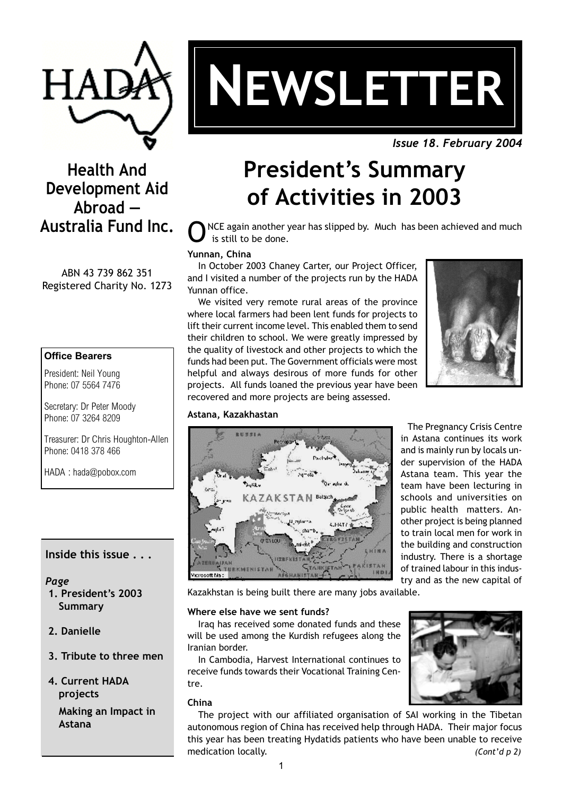

# **NEWSLETTER**

#### *Issue 18. February 2004*

## **Health And Development Aid Abroad — Australia Fund Inc.**

ABN 43 739 862 351 Registered Charity No. 1273

#### **Office Bearers**

President: Neil Young Phone: 07 5564 7476

Secretary: Dr Peter Moody Phone: 07 3264 8209

Treasurer: Dr Chris Houghton-Allen Phone: 0418 378 466

HADA : hada@pobox.com

#### **Inside this issue . . .**

#### *Page*

**1. President's 2003 Summary**

- **2. Danielle**
- **3. Tribute to three men**
- **4. Current HADA projects**

**Making an Impact in Astana**

# **President's Summary of Activities in 2003**

NCE again another year has slipped by. Much has been achieved and much is still to be done.

#### **Yunnan, China**

In October 2003 Chaney Carter, our Project Officer, and I visited a number of the projects run by the HADA Yunnan office.

We visited very remote rural areas of the province where local farmers had been lent funds for projects to lift their current income level. This enabled them to send their children to school. We were greatly impressed by the quality of livestock and other projects to which the funds had been put. The Government officials were most helpful and always desirous of more funds for other projects. All funds loaned the previous year have been recovered and more projects are being assessed.



#### **Astana, Kazakhastan**



 The Pregnancy Crisis Centre in Astana continues its work and is mainly run by locals under supervision of the HADA Astana team. This year the team have been lecturing in schools and universities on public health matters. Another project is being planned to train local men for work in the building and construction industry. There is a shortage of trained labour in this industry and as the new capital of

Kazakhstan is being built there are many jobs available.

#### **Where else have we sent funds?**

Iraq has received some donated funds and these will be used among the Kurdish refugees along the Iranian border.

In Cambodia, Harvest International continues to receive funds towards their Vocational Training Centre.

#### **China**

The project with our affiliated organisation of SAI working in the Tibetan autonomous region of China has received help through HADA. Their major focus this year has been treating Hydatids patients who have been unable to receive medication locally. *(Cont'd p 2)*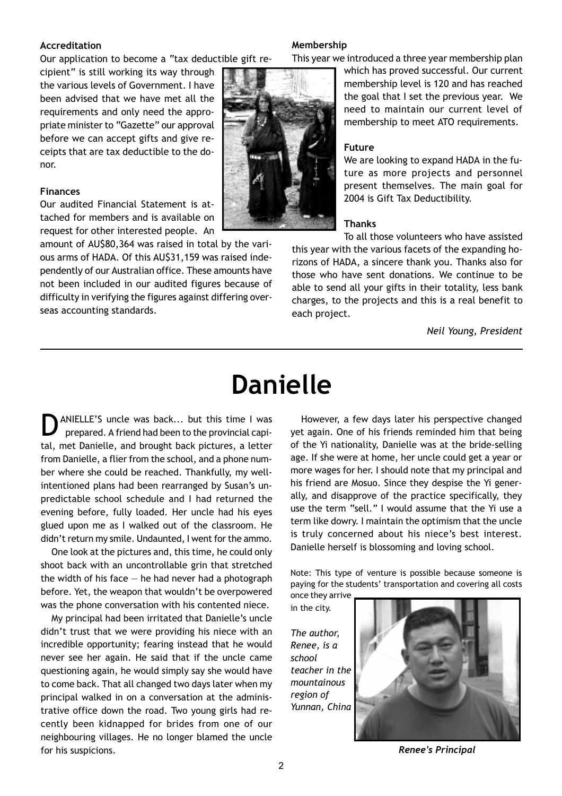#### **Accreditation**

Our application to become a "tax deductible gift re-

cipient" is still working its way through the various levels of Government. I have been advised that we have met all the requirements and only need the appropriate minister to "Gazette" our approval before we can accept gifts and give receipts that are tax deductible to the donor.

#### **Finances**

Our audited Financial Statement is attached for members and is available on request for other interested people. An

amount of AU\$80,364 was raised in total by the various arms of HADA. Of this AU\$31,159 was raised independently of our Australian office. These amounts have not been included in our audited figures because of difficulty in verifying the figures against differing overseas accounting standards.

#### **Membership**

This year we introduced a three year membership plan

which has proved successful. Our current membership level is 120 and has reached the goal that I set the previous year. We need to maintain our current level of membership to meet ATO requirements.

#### **Future**

We are looking to expand HADA in the future as more projects and personnel present themselves. The main goal for 2004 is Gift Tax Deductibility.

#### **Thanks**

To all those volunteers who have assisted this year with the various facets of the expanding horizons of HADA, a sincere thank you. Thanks also for those who have sent donations. We continue to be able to send all your gifts in their totality, less bank charges, to the projects and this is a real benefit to each project.

*Neil Young, President*

## **Danielle**

ANIELLE'S uncle was back... but this time I was prepared. A friend had been to the provincial capital, met Danielle, and brought back pictures, a letter from Danielle, a flier from the school, and a phone number where she could be reached. Thankfully, my wellintentioned plans had been rearranged by Susan's unpredictable school schedule and I had returned the evening before, fully loaded. Her uncle had his eyes glued upon me as I walked out of the classroom. He didn't return my smile. Undaunted, I went for the ammo.

One look at the pictures and, this time, he could only shoot back with an uncontrollable grin that stretched the width of his face  $-$  he had never had a photograph before. Yet, the weapon that wouldn't be overpowered was the phone conversation with his contented niece.

My principal had been irritated that Danielle's uncle didn't trust that we were providing his niece with an incredible opportunity; fearing instead that he would never see her again. He said that if the uncle came questioning again, he would simply say she would have to come back. That all changed two days later when my principal walked in on a conversation at the administrative office down the road. Two young girls had recently been kidnapped for brides from one of our neighbouring villages. He no longer blamed the uncle for his suspicions.

However, a few days later his perspective changed yet again. One of his friends reminded him that being of the Yi nationality, Danielle was at the bride-selling age. If she were at home, her uncle could get a year or more wages for her. I should note that my principal and his friend are Mosuo. Since they despise the Yi generally, and disapprove of the practice specifically, they use the term "sell." I would assume that the Yi use a term like dowry. I maintain the optimism that the uncle is truly concerned about his niece's best interest. Danielle herself is blossoming and loving school.

Note: This type of venture is possible because someone is paying for the students' transportation and covering all costs once they arrive

in the city.

*The author, Renee, is a school teacher in the mountainous region of Yunnan, China*



*Renee's Principal*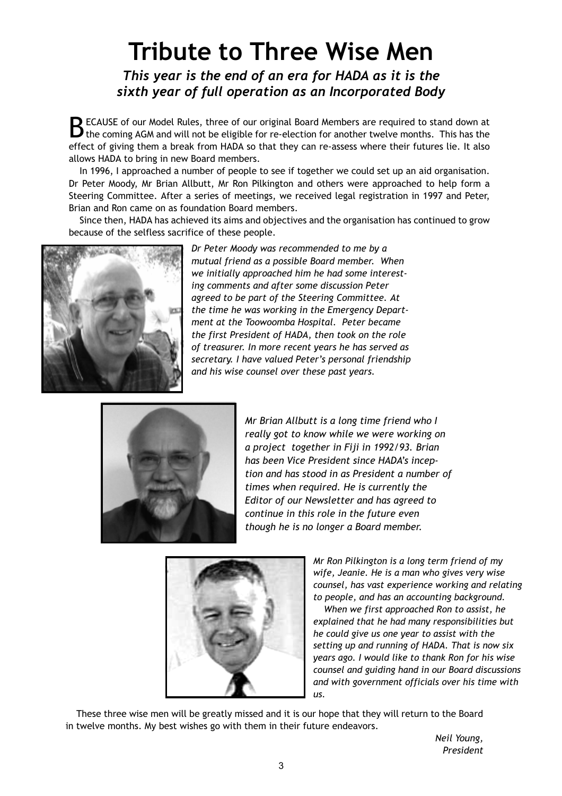# **Tribute to Three Wise Men**

*This year is the end of an era for HADA as it is the sixth year of full operation as an Incorporated Body*

BECAUSE of our Model Rules, three of our original Board Members are required to stand down at the coming AGM and will not be eligible for re-election for another twelve months. This has the effect of giving them a break from HADA so that they can re-assess where their futures lie. It also allows HADA to bring in new Board members.

In 1996, I approached a number of people to see if together we could set up an aid organisation. Dr Peter Moody, Mr Brian Allbutt, Mr Ron Pilkington and others were approached to help form a Steering Committee. After a series of meetings, we received legal registration in 1997 and Peter, Brian and Ron came on as foundation Board members.

Since then, HADA has achieved its aims and objectives and the organisation has continued to grow because of the selfless sacrifice of these people.



*Dr Peter Moody was recommended to me by a mutual friend as a possible Board member. When we initially approached him he had some interesting comments and after some discussion Peter agreed to be part of the Steering Committee. At the time he was working in the Emergency Department at the Toowoomba Hospital. Peter became the first President of HADA, then took on the role of treasurer. In more recent years he has served as secretary. I have valued Peter's personal friendship and his wise counsel over these past years.*



*Mr Brian Allbutt is a long time friend who I really got to know while we were working on a project together in Fiji in 1992/93. Brian has been Vice President since HADA's inception and has stood in as President a number of times when required. He is currently the Editor of our Newsletter and has agreed to continue in this role in the future even though he is no longer a Board member.*



*Mr Ron Pilkington is a long term friend of my wife, Jeanie. He is a man who gives very wise counsel, has vast experience working and relating to people, and has an accounting background.*

*When we first approached Ron to assist, he explained that he had many responsibilities but he could give us one year to assist with the setting up and running of HADA. That is now six years ago. I would like to thank Ron for his wise counsel and guiding hand in our Board discussions and with government officials over his time with us.*

These three wise men will be greatly missed and it is our hope that they will return to the Board in twelve months. My best wishes go with them in their future endeavors.

> *Neil Young, President*